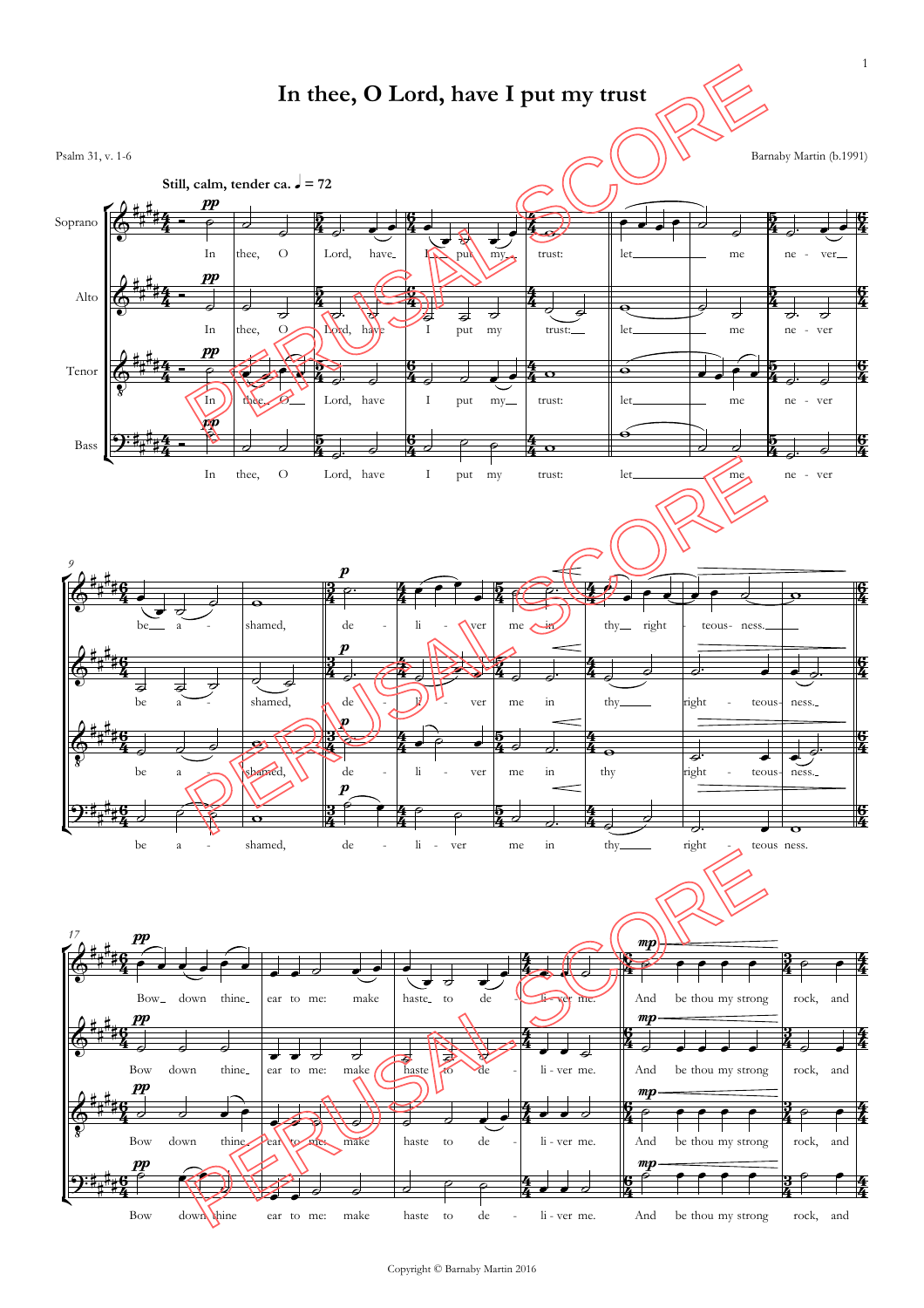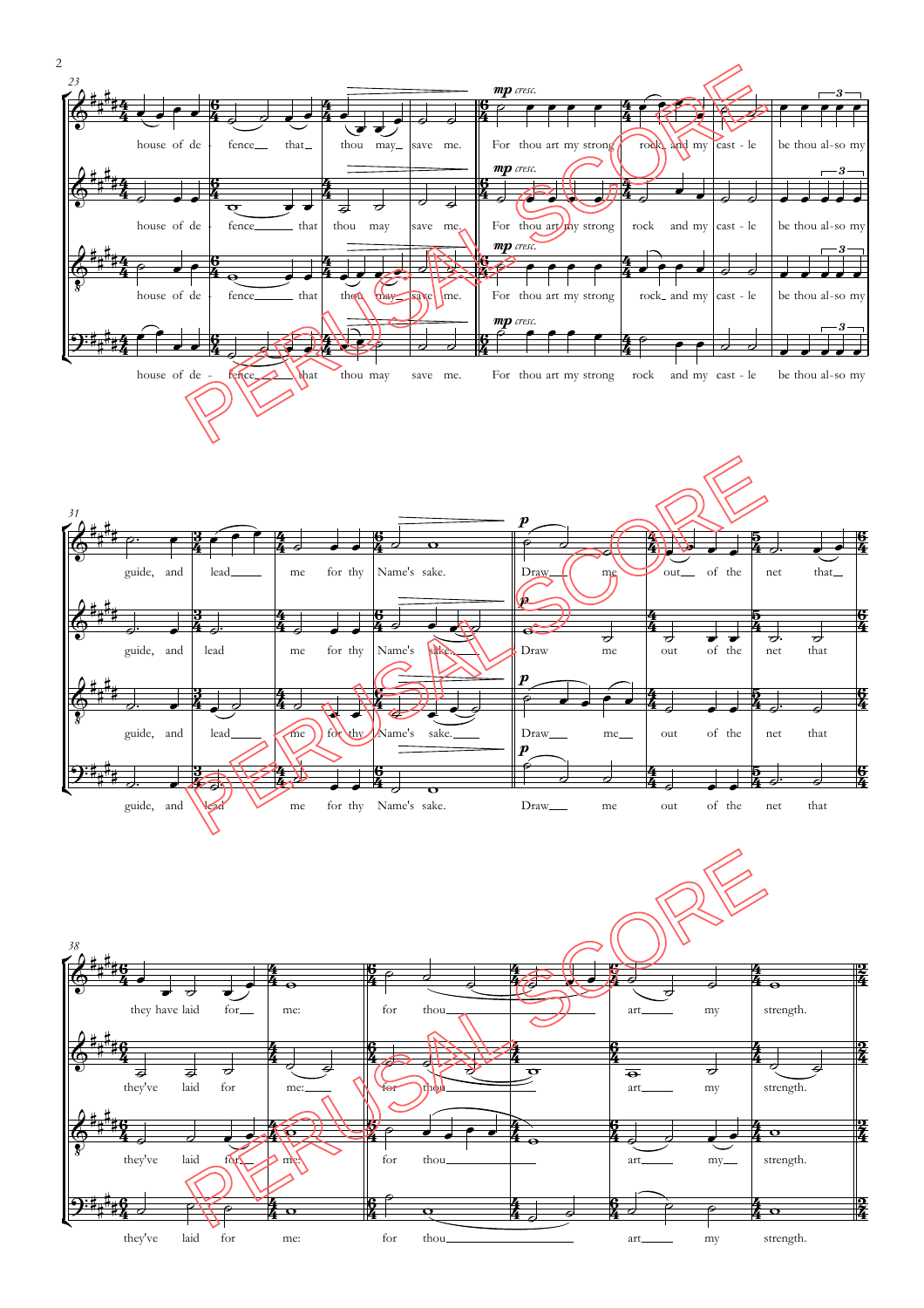